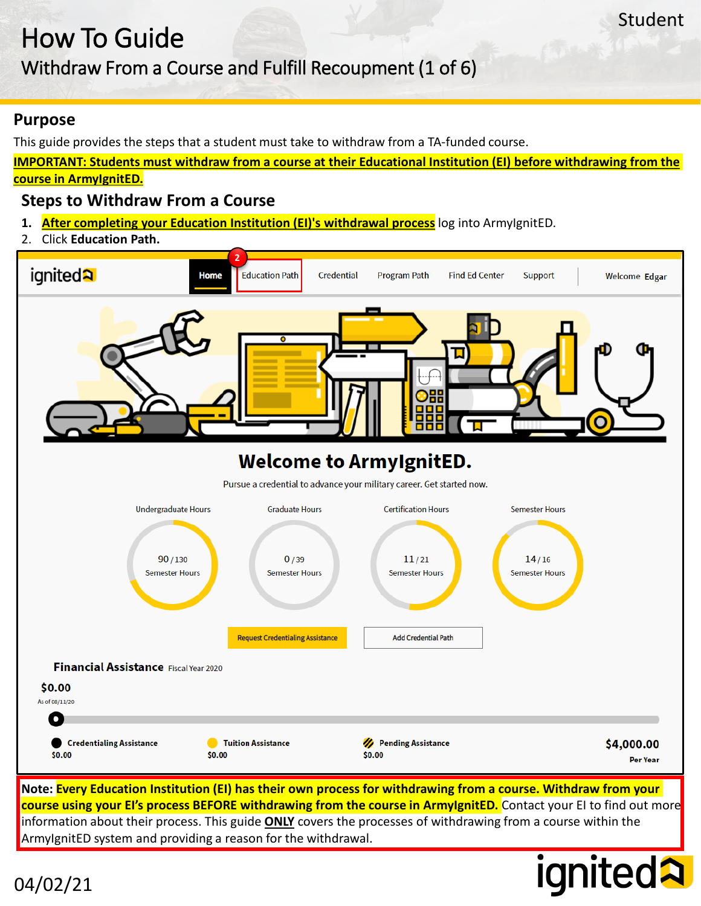### Withdraw From a Course and Fulfill Recoupment (1 of 6)

#### **Purpose**

04/02/21

This guide provides the steps that a student must take to withdraw from a TA-funded course.

**IMPORTANT: Students must withdraw from a course at their Educational Institution (EI) before withdrawing from the course in ArmyIgnitED.**

Student

*ignited?* 

#### **Steps to Withdraw From a Course**

- 1. **After completing your Education Institution (EI)'s withdrawal process** log into ArmyIgnitED.
- 2. Click **Education Path.**



**course using your EI's process BEFORE withdrawing from the course in ArmyIgnitED.** Contact your EI to find out more information about their process. This guide **ONLY** covers the processes of withdrawing from a course within the ArmyIgnitED system and providing a reason for the withdrawal.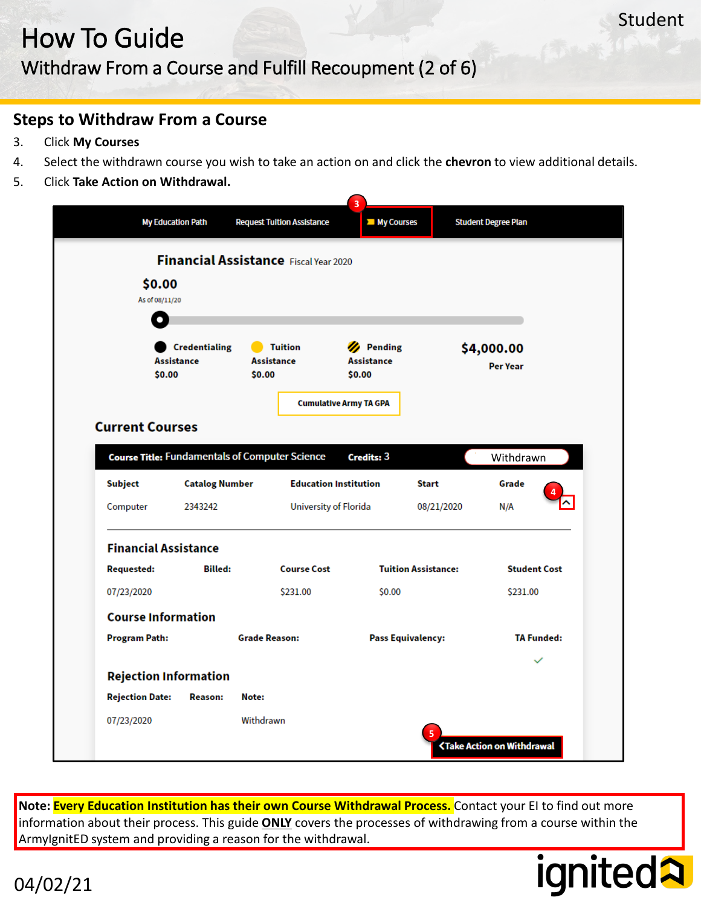#### Withdraw From a Course and Fulfill Recoupment (2 of 6)

#### **Steps to Withdraw From a Course**

- 3. Click **My Courses**
- 4. Select the withdrawn course you wish to take an action on and click the **chevron** to view additional details.
- 5. Click **Take Action on Withdrawal.**

|                                           |                       | Financial Assistance Fiscal Year 2020                 |                                          |                               |                     |
|-------------------------------------------|-----------------------|-------------------------------------------------------|------------------------------------------|-------------------------------|---------------------|
| \$0.00                                    |                       |                                                       |                                          |                               |                     |
| As of 08/11/20<br>О                       |                       |                                                       |                                          |                               |                     |
|                                           |                       |                                                       |                                          |                               |                     |
| <b>Credentialing</b><br><b>Assistance</b> |                       | <b>Tuition</b><br><b>Assistance</b>                   | <b>Pending</b><br>Ø<br><b>Assistance</b> | \$4,000.00<br><b>Per Year</b> |                     |
| \$0.00                                    |                       | \$0.00                                                | \$0.00                                   |                               |                     |
|                                           |                       |                                                       | <b>Cumulative Army TA GPA</b>            |                               |                     |
| <b>Current Courses</b>                    |                       |                                                       |                                          |                               |                     |
|                                           |                       |                                                       |                                          |                               |                     |
|                                           |                       |                                                       |                                          |                               |                     |
|                                           |                       | <b>Course Title: Fundamentals of Computer Science</b> | Credits: 3                               |                               | Withdrawn           |
| <b>Subject</b>                            | <b>Catalog Number</b> |                                                       | <b>Education Institution</b>             | <b>Start</b>                  | Grade               |
| Computer                                  | 2343242               |                                                       | University of Florida                    | 08/21/2020                    | N/A                 |
| <b>Financial Assistance</b>               |                       |                                                       |                                          |                               |                     |
| <b>Requested:</b>                         | <b>Billed:</b>        | <b>Course Cost</b>                                    |                                          | <b>Tuition Assistance:</b>    | <b>Student Cost</b> |
| 07/23/2020                                |                       | \$231.00                                              | \$0.00                                   |                               | \$231.00            |
| <b>Course Information</b>                 |                       |                                                       |                                          |                               |                     |
| <b>Program Path:</b>                      |                       | <b>Grade Reason:</b>                                  |                                          | <b>Pass Equivalency:</b>      | <b>TA Funded:</b>   |
|                                           |                       |                                                       |                                          |                               | $\checkmark$        |
| <b>Rejection Information</b>              |                       |                                                       |                                          |                               |                     |

**Note: Every Education Institution has their own Course Withdrawal Process.** Contact your EI to find out more information about their process. This guide **ONLY** covers the processes of withdrawing from a course within the ArmyIgnitED system and providing a reason for the withdrawal.

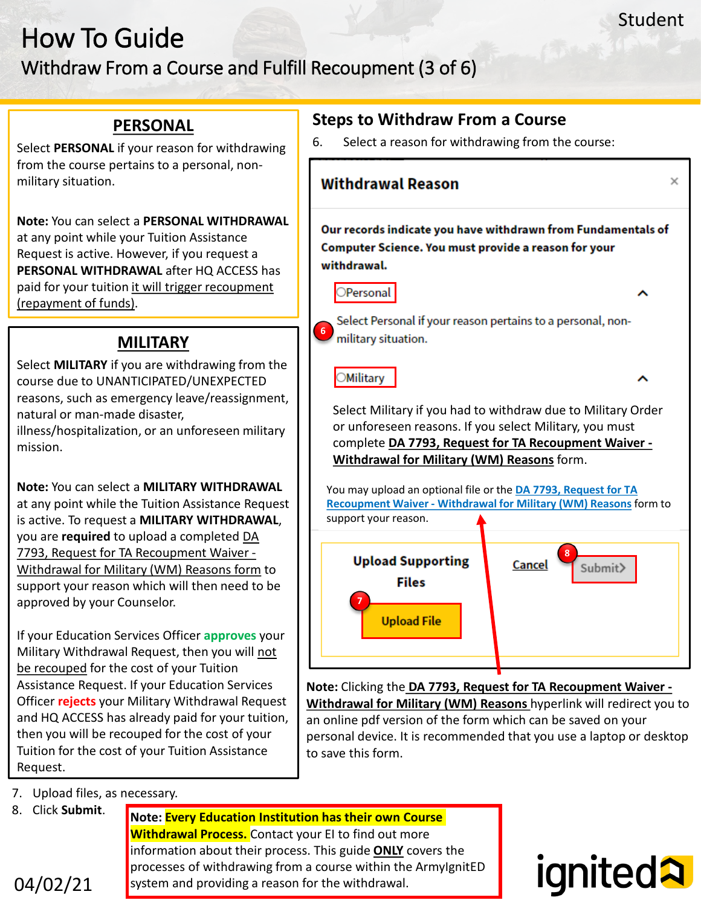#### Withdraw From a Course and Fulfill Recoupment (3 of 6)

#### **PERSONAL**

Select **PERSONAL** if your reason for withdrawing from the course pertains to a personal, nonmilitary situation.

**Note:** You can select a **PERSONAL WITHDRAWAL**  at any point while your Tuition Assistance Request is active. However, if you request a **PERSONAL WITHDRAWAL** after HQ ACCESS has paid for your tuition it will trigger recoupment (repayment of funds).

#### **MILITARY**

Select **MILITARY** if you are withdrawing from the course due to UNANTICIPATED/UNEXPECTED reasons, such as emergency leave/reassignment, natural or man-made disaster,

illness/hospitalization, or an unforeseen military mission.

**Note:** You can select a **MILITARY WITHDRAWAL**  at any point while the Tuition Assistance Request is active. To request a **MILITARY WITHDRAWAL**, you are **required** to upload a completed DA 7793, Request for TA Recoupment Waiver - Withdrawal for Military (WM) Reasons form to support your reason which will then need to be approved by your Counselor.

If your Education Services Officer **approves** your Military Withdrawal Request, then you will not be recouped for the cost of your Tuition Assistance Request. If your Education Services Officer **rejects** your Military Withdrawal Request and HQ ACCESS has already paid for your tuition, then you will be recouped for the cost of your Tuition for the cost of your Tuition Assistance Request.

- **Steps to Withdraw From a Course**
- 6. Select a reason for withdrawing from the course:



**Note:** Clicking the **DA 7793, Request for TA Recoupment Waiver - Withdrawal for Military (WM) Reasons** hyperlink will redirect you to an online pdf version of the form which can be saved on your personal device. It is recommended that you use a laptop or desktop to save this form.

- 7. Upload files, as necessary.
- 8. Click **Submit**.

**Note: Every Education Institution has their own Course Withdrawal Process.** Contact your EI to find out more information about their process. This guide **ONLY** covers the processes of withdrawing from a course within the ArmyIgnitED system and providing a reason for the withdrawal.

# **ignited2**

04/02/21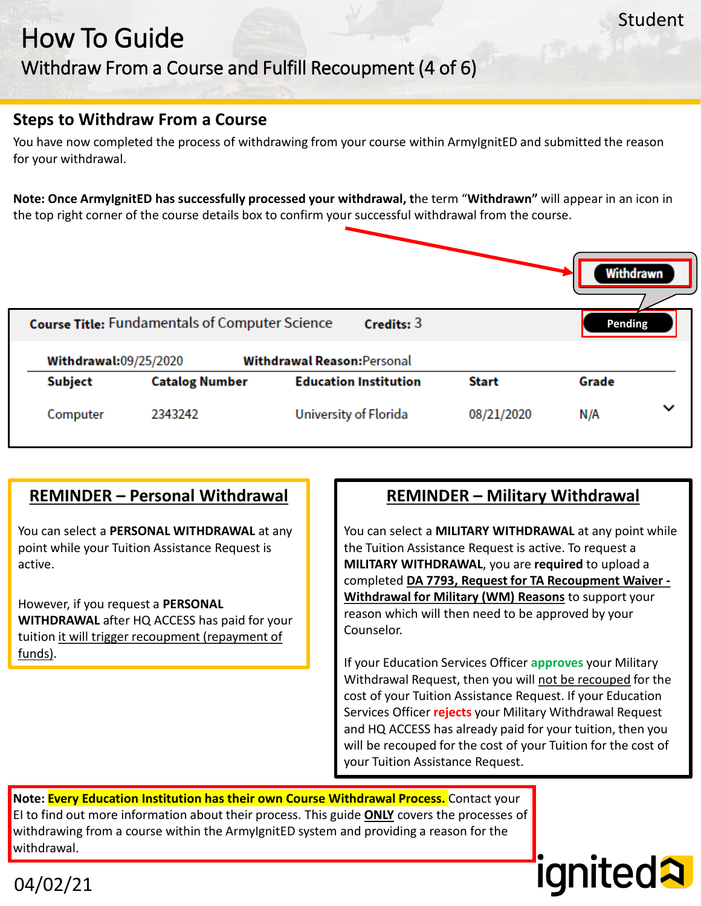#### Withdraw From a Course and Fulfill Recoupment (4 of 6)

#### **Steps to Withdraw From a Course**

You have now completed the process of withdrawing from your course within ArmyIgnitED and submitted the reason for your withdrawal.

**Note: Once ArmyIgnitED has successfully processed your withdrawal, t**he term "**Withdrawn"** will appear in an icon in the top right corner of the course details box to confirm your successful withdrawal from the course.



#### **REMINDER – Personal Withdrawal**

You can select a **PERSONAL WITHDRAWAL** at any point while your Tuition Assistance Request is active.

However, if you request a **PERSONAL WITHDRAWAL** after HQ ACCESS has paid for your tuition it will trigger recoupment (repayment of funds).

#### **REMINDER – Military Withdrawal**

You can select a **MILITARY WITHDRAWAL** at any point while the Tuition Assistance Request is active. To request a **MILITARY WITHDRAWAL**, you are **required** to upload a completed **DA 7793, Request for TA Recoupment Waiver - Withdrawal for Military (WM) Reasons** to support your reason which will then need to be approved by your Counselor.

If your Education Services Officer **approves** your Military Withdrawal Request, then you will not be recouped for the cost of your Tuition Assistance Request. If your Education Services Officer **rejects** your Military Withdrawal Request and HQ ACCESS has already paid for your tuition, then you will be recouped for the cost of your Tuition for the cost of your Tuition Assistance Request.

ignited2

**Note: Every Education Institution has their own Course Withdrawal Process.** Contact your EI to find out more information about their process. This guide **ONLY** covers the processes of withdrawing from a course within the ArmylgnitED system and providing a reason for the withdrawal.

04/02/21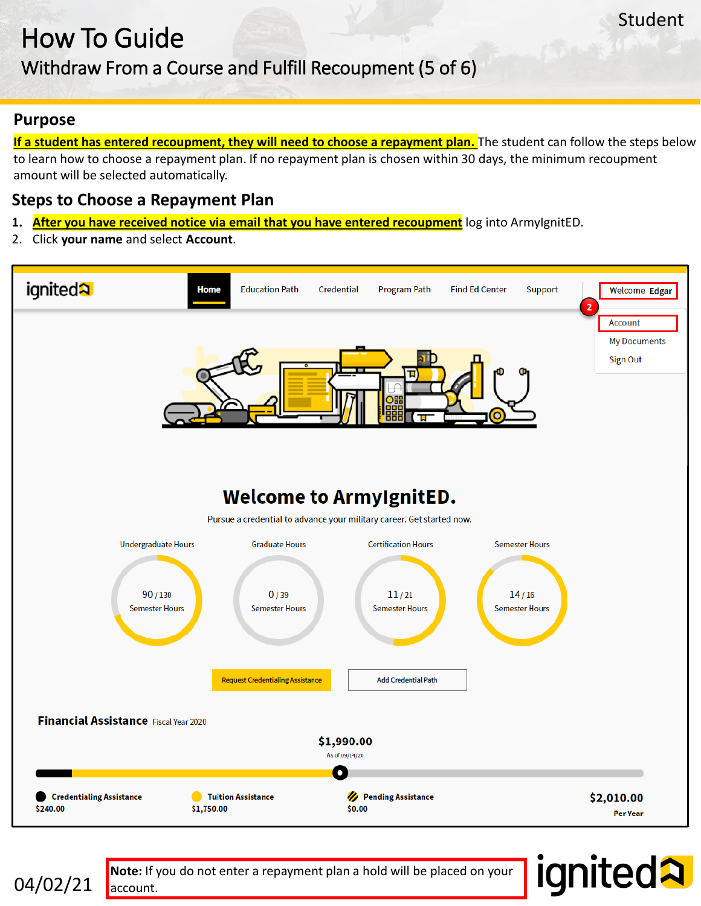## Withdraw From a Course and Fulfill Recoupment (5 of 6)

#### **Purpose**

**If a student has entered recoupment, they will need to choose a repayment plan.** The student can follow the steps below to learn how to choose a repayment plan. If no repayment plan is chosen within 30 days, the minimum recoupment amount will be selected automatically.

#### **Steps to Choose a Repayment Plan**

- **1. After you have received notice via email that you have entered recoupment** log into ArmyIgnitED.
- 2. Click **your name** and select **Account**.





**Note:** If you do not enter a repayment plan a hold will be placed on your account.